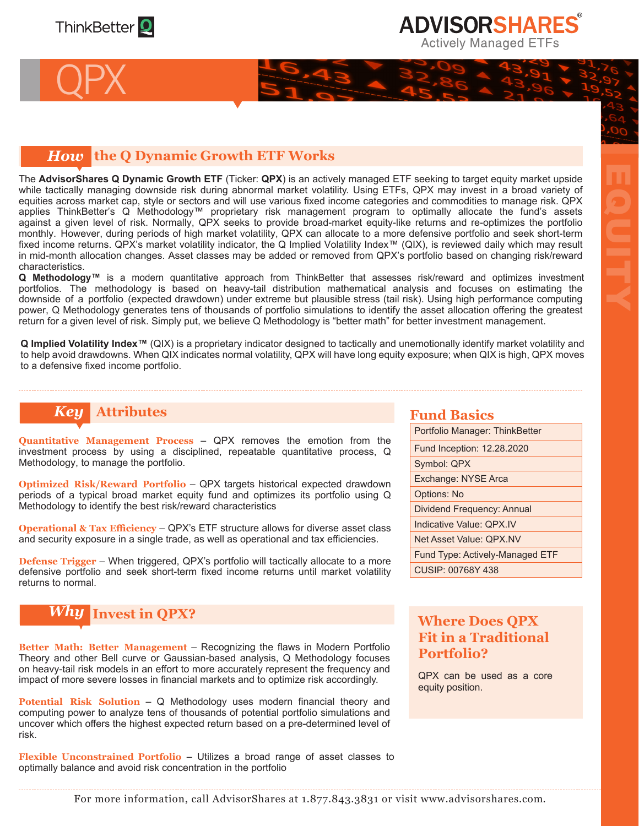

QPX

# **ADVISORSHARES Actively Managed ETFs**

EQUITY

### *How* **the Q Dynamic Growth ETF Works**

The **AdvisorShares Q Dynamic Growth ETF** (Ticker: **QPX**) is an actively managed ETF seeking to target equity market upside while tactically managing downside risk during abnormal market volatility. Using ETFs, QPX may invest in a broad variety of equities across market cap, style or sectors and will use various fixed income categories and commodities to manage risk. QPX applies ThinkBetter's Q Methodology™ proprietary risk management program to optimally allocate the fund's assets against a given level of risk. Normally, QPX seeks to provide broad-market equity-like returns and re-optimizes the portfolio monthly. However, during periods of high market volatility, QPX can allocate to a more defensive portfolio and seek short-term fixed income returns. QPX's market volatility indicator, the Q Implied Volatility Index™ (QIX), is reviewed daily which may result in mid-month allocation changes. Asset classes may be added or removed from QPX's portfolio based on changing risk/reward characteristics.

**Q Methodology™** is a modern quantitative approach from ThinkBetter that assesses risk/reward and optimizes investment portfolios. The methodology is based on heavy-tail distribution mathematical analysis and focuses on estimating the downside of a portfolio (expected drawdown) under extreme but plausible stress (tail risk). Using high performance computing power, Q Methodology generates tens of thousands of portfolio simulations to identify the asset allocation offering the greatest return for a given level of risk. Simply put, we believe Q Methodology is "better math" for better investment management.

**Q Implied Volatility Index™** (QIX) is a proprietary indicator designed to tactically and unemotionally identify market volatility and to help avoid drawdowns. When QIX indicates normal volatility, QPX will have long equity exposure; when QIX is high, QPX moves to a defensive fixed income portfolio.

# *Key* **Attributes <b>Fund Basics Fund Basics**

**Quantitative Management Process** – QPX removes the emotion from the investment process by using a disciplined, repeatable quantitative process, Q Methodology, to manage the portfolio.

**Optimized Risk/Reward Portfolio** – QPX targets historical expected drawdown periods of a typical broad market equity fund and optimizes its portfolio using Q Methodology to identify the best risk/reward characteristics

**Operational & Tax Efficiency – QPX's ETF structure allows for diverse asset class** and security exposure in a single trade, as well as operational and tax efficiencies.

**Defense Trigger** – When triggered, QPX's portfolio will tactically allocate to a more defensive portfolio and seek short-term fixed income returns until market volatility returns to normal.

## *Why* **Invest in QPX?**

**Better Math: Better Management** – Recognizing the flaws in Modern Portfolio Theory and other Bell curve or Gaussian-based analysis, Q Methodology focuses on heavy-tail risk models in an effort to more accurately represent the frequency and impact of more severe losses in financial markets and to optimize risk accordingly.

**Potential Risk Solution** – Q Methodology uses modern financial theory and computing power to analyze tens of thousands of potential portfolio simulations and uncover which offers the highest expected return based on a pre-determined level of risk.

**Flexible Unconstrained Portfolio** – Utilizes a broad range of asset classes to optimally balance and avoid risk concentration in the portfolio

Portfolio Manager: ThinkBetter Fund Inception: 12.28.2020 Symbol: QPX Exchange: NYSE Arca Options: No Dividend Frequency: Annual Indicative Value: QPX.IV Net Asset Value: QPX.NV Fund Type: Actively-Managed ETF CUSIP: 00768Y 438

### **Where Does QPX Fit in a Traditional Portfolio?**

QPX can be used as a core equity position.